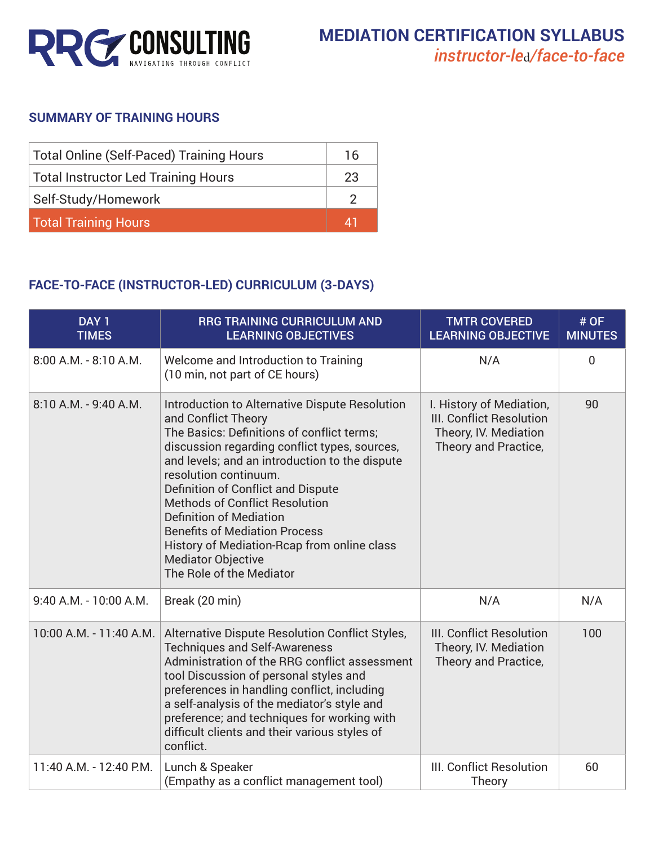

## **SUMMARY OF TRAINING HOURS**

| <b>Total Online (Self-Paced) Training Hours</b> |           |
|-------------------------------------------------|-----------|
| Total Instructor Led Training Hours             | 23        |
| Self-Study/Homework                             |           |
| <b>Total Training Hours</b>                     | <b>A1</b> |

## **FACE-TO-FACE (INSTRUCTOR-LED) CURRICULUM (3-DAYS)**

| DAY <sub>1</sub><br><b>TIMES</b> | <b>RRG TRAINING CURRICULUM AND</b><br><b>LEARNING OBJECTIVES</b>                                                                                                                                                                                                                                                                                                                                                                                                                                                 | <b>TMTR COVERED</b><br><b>LEARNING OBJECTIVE</b>                                                             | # OF<br><b>MINUTES</b> |
|----------------------------------|------------------------------------------------------------------------------------------------------------------------------------------------------------------------------------------------------------------------------------------------------------------------------------------------------------------------------------------------------------------------------------------------------------------------------------------------------------------------------------------------------------------|--------------------------------------------------------------------------------------------------------------|------------------------|
| 8:00 A.M. - 8:10 A.M.            | Welcome and Introduction to Training<br>(10 min, not part of CE hours)                                                                                                                                                                                                                                                                                                                                                                                                                                           | N/A                                                                                                          | $\mathbf 0$            |
| 8:10 A.M. - 9:40 A.M.            | Introduction to Alternative Dispute Resolution<br>and Conflict Theory<br>The Basics: Definitions of conflict terms;<br>discussion regarding conflict types, sources,<br>and levels; and an introduction to the dispute<br>resolution continuum.<br>Definition of Conflict and Dispute<br><b>Methods of Conflict Resolution</b><br><b>Definition of Mediation</b><br><b>Benefits of Mediation Process</b><br>History of Mediation-Rcap from online class<br><b>Mediator Objective</b><br>The Role of the Mediator | I. History of Mediation,<br><b>III. Conflict Resolution</b><br>Theory, IV. Mediation<br>Theory and Practice, | 90                     |
| 9:40 A.M. - 10:00 A.M.           | Break (20 min)                                                                                                                                                                                                                                                                                                                                                                                                                                                                                                   | N/A                                                                                                          | N/A                    |
| 10:00 A.M. - 11:40 A.M.          | Alternative Dispute Resolution Conflict Styles,<br><b>Techniques and Self-Awareness</b><br>Administration of the RRG conflict assessment<br>tool Discussion of personal styles and<br>preferences in handling conflict, including<br>a self-analysis of the mediator's style and<br>preference; and techniques for working with<br>difficult clients and their various styles of<br>conflict.                                                                                                                    | <b>III. Conflict Resolution</b><br>Theory, IV. Mediation<br>Theory and Practice,                             | 100                    |
| 11:40 A.M. - 12:40 P.M.          | Lunch & Speaker<br>(Empathy as a conflict management tool)                                                                                                                                                                                                                                                                                                                                                                                                                                                       | III. Conflict Resolution<br>Theory                                                                           | 60                     |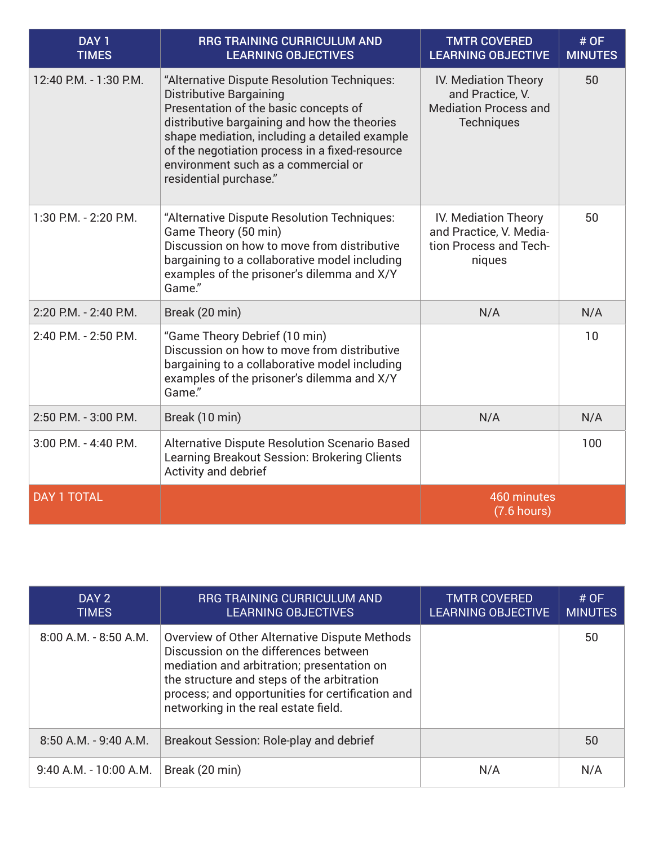| DAY <sub>1</sub><br><b>TIMES</b> | <b>RRG TRAINING CURRICULUM AND</b><br><b>LEARNING OBJECTIVES</b>                                                                                                                                                                                                                                                                    | <b>TMTR COVERED</b><br><b>LEARNING OBJECTIVE</b>                                              | # OF<br><b>MINUTES</b> |
|----------------------------------|-------------------------------------------------------------------------------------------------------------------------------------------------------------------------------------------------------------------------------------------------------------------------------------------------------------------------------------|-----------------------------------------------------------------------------------------------|------------------------|
| 12:40 P.M. - 1:30 P.M.           | "Alternative Dispute Resolution Techniques:<br>Distributive Bargaining<br>Presentation of the basic concepts of<br>distributive bargaining and how the theories<br>shape mediation, including a detailed example<br>of the negotiation process in a fixed-resource<br>environment such as a commercial or<br>residential purchase." | IV. Mediation Theory<br>and Practice, V.<br><b>Mediation Process and</b><br><b>Techniques</b> | 50                     |
| 1:30 P.M. - 2:20 P.M.            | "Alternative Dispute Resolution Techniques:<br>Game Theory (50 min)<br>Discussion on how to move from distributive<br>bargaining to a collaborative model including<br>examples of the prisoner's dilemma and X/Y<br>Game."                                                                                                         | IV. Mediation Theory<br>and Practice, V. Media-<br>tion Process and Tech-<br>niques           | 50                     |
| 2:20 P.M. - 2:40 P.M.            | Break (20 min)                                                                                                                                                                                                                                                                                                                      | N/A                                                                                           | N/A                    |
| 2:40 P.M. - 2:50 P.M.            | "Game Theory Debrief (10 min)<br>Discussion on how to move from distributive<br>bargaining to a collaborative model including<br>examples of the prisoner's dilemma and X/Y<br>Game."                                                                                                                                               |                                                                                               | 10                     |
| 2:50 P.M. - 3:00 P.M.            | Break (10 min)                                                                                                                                                                                                                                                                                                                      | N/A                                                                                           | N/A                    |
| $3:00$ P.M. $-$ 4:40 P.M.        | <b>Alternative Dispute Resolution Scenario Based</b><br>Learning Breakout Session: Brokering Clients<br>Activity and debrief                                                                                                                                                                                                        |                                                                                               | 100                    |
| <b>DAY 1 TOTAL</b>               |                                                                                                                                                                                                                                                                                                                                     | 460 minutes<br>$(7.6$ hours)                                                                  |                        |

| DAY 2<br><b>TIMES</b>     | <b>RRG TRAINING CURRICULUM AND</b><br><b>LEARNING OBJECTIVES</b>                                                                                                                                                                                                               | <b>TMTR COVERED</b><br><b>LEARNING OBJECTIVE</b> | # $OF$<br><b>MINUTES</b> |
|---------------------------|--------------------------------------------------------------------------------------------------------------------------------------------------------------------------------------------------------------------------------------------------------------------------------|--------------------------------------------------|--------------------------|
| $8:00$ A.M. - $8:50$ A.M. | Overview of Other Alternative Dispute Methods<br>Discussion on the differences between<br>mediation and arbitration; presentation on<br>the structure and steps of the arbitration<br>process; and opportunities for certification and<br>networking in the real estate field. |                                                  | 50                       |
| $8:50$ A.M. - 9:40 A.M.   | Breakout Session: Role-play and debrief                                                                                                                                                                                                                                        |                                                  | 50                       |
| $9:40$ A.M. - 10:00 A.M.  | Break (20 min)                                                                                                                                                                                                                                                                 | N/A                                              | N/A                      |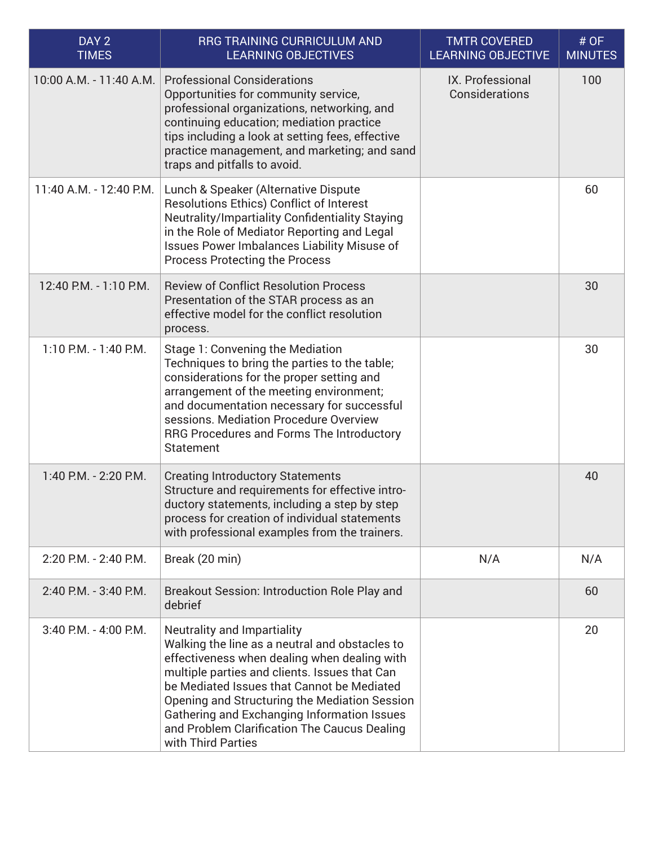| DAY <sub>2</sub><br><b>TIMES</b> | <b>RRG TRAINING CURRICULUM AND</b><br><b>LEARNING OBJECTIVES</b>                                                                                                                                                                                                                                                                                                                                   | <b>TMTR COVERED</b><br><b>LEARNING OBJECTIVE</b> | # OF<br><b>MINUTES</b> |
|----------------------------------|----------------------------------------------------------------------------------------------------------------------------------------------------------------------------------------------------------------------------------------------------------------------------------------------------------------------------------------------------------------------------------------------------|--------------------------------------------------|------------------------|
| 10:00 A.M. - 11:40 A.M.          | <b>Professional Considerations</b><br>Opportunities for community service,<br>professional organizations, networking, and<br>continuing education; mediation practice<br>tips including a look at setting fees, effective<br>practice management, and marketing; and sand<br>traps and pitfalls to avoid.                                                                                          | IX. Professional<br>Considerations               | 100                    |
| 11:40 A.M. - 12:40 P.M.          | Lunch & Speaker (Alternative Dispute<br><b>Resolutions Ethics) Conflict of Interest</b><br>Neutrality/Impartiality Confidentiality Staying<br>in the Role of Mediator Reporting and Legal<br>Issues Power Imbalances Liability Misuse of<br><b>Process Protecting the Process</b>                                                                                                                  |                                                  | 60                     |
| 12:40 P.M. - 1:10 P.M.           | <b>Review of Conflict Resolution Process</b><br>Presentation of the STAR process as an<br>effective model for the conflict resolution<br>process.                                                                                                                                                                                                                                                  |                                                  | 30                     |
| $1:10$ P.M. - $1:40$ P.M.        | Stage 1: Convening the Mediation<br>Techniques to bring the parties to the table;<br>considerations for the proper setting and<br>arrangement of the meeting environment;<br>and documentation necessary for successful<br>sessions. Mediation Procedure Overview<br>RRG Procedures and Forms The Introductory<br><b>Statement</b>                                                                 |                                                  | 30                     |
| 1:40 P.M. - 2:20 P.M.            | <b>Creating Introductory Statements</b><br>Structure and requirements for effective intro-<br>ductory statements, including a step by step<br>process for creation of individual statements<br>with professional examples from the trainers.                                                                                                                                                       |                                                  | 40                     |
| 2:20 P.M. - 2:40 P.M.            | Break (20 min)                                                                                                                                                                                                                                                                                                                                                                                     | N/A                                              | N/A                    |
| 2:40 P.M. - 3:40 P.M.            | Breakout Session: Introduction Role Play and<br>debrief                                                                                                                                                                                                                                                                                                                                            |                                                  | 60                     |
| 3:40 P.M. - 4:00 P.M.            | Neutrality and Impartiality<br>Walking the line as a neutral and obstacles to<br>effectiveness when dealing when dealing with<br>multiple parties and clients. Issues that Can<br>be Mediated Issues that Cannot be Mediated<br>Opening and Structuring the Mediation Session<br>Gathering and Exchanging Information Issues<br>and Problem Clarification The Caucus Dealing<br>with Third Parties |                                                  | 20                     |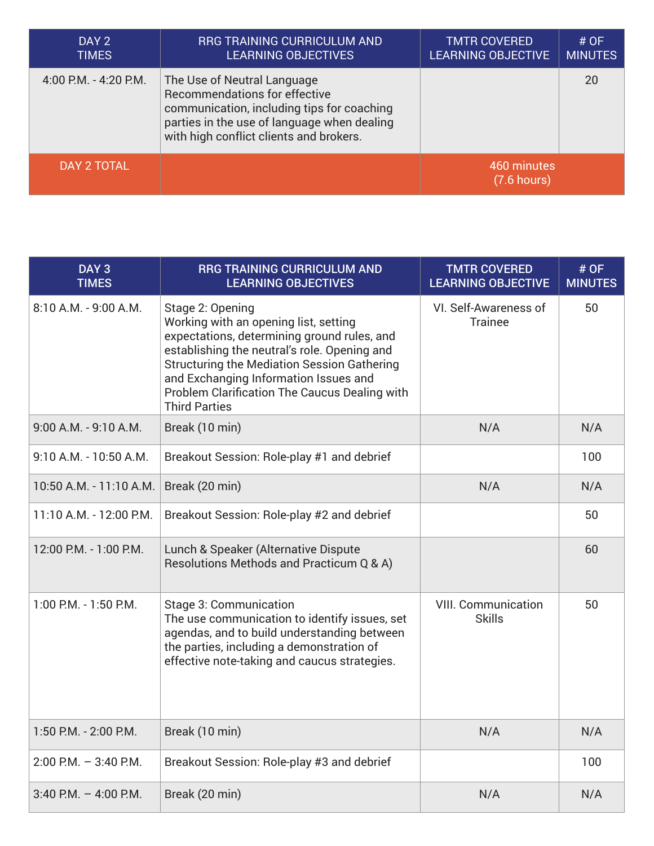| DAY 2<br><b>TIMES</b> | RRG TRAINING CURRICULUM AND<br><b>LEARNING OBJECTIVES</b>                                                                                                                                            | <b>TMTR COVERED</b><br><b>LEARNING OBJECTIVE</b> | # $OF$<br><b>MINUTES</b> |
|-----------------------|------------------------------------------------------------------------------------------------------------------------------------------------------------------------------------------------------|--------------------------------------------------|--------------------------|
| 4:00 P.M. - 4:20 P.M. | The Use of Neutral Language<br>Recommendations for effective<br>communication, including tips for coaching<br>parties in the use of language when dealing<br>with high conflict clients and brokers. |                                                  | 20                       |
| DAY 2 TOTAL           |                                                                                                                                                                                                      | 460 minutes<br>$(7.6$ hours)                     |                          |

| DAY <sub>3</sub><br><b>TIMES</b> | <b>RRG TRAINING CURRICULUM AND</b><br><b>LEARNING OBJECTIVES</b>                                                                                                                                                                                                                                                                 | <b>TMTR COVERED</b><br><b>LEARNING OBJECTIVE</b> | # OF<br><b>MINUTES</b> |
|----------------------------------|----------------------------------------------------------------------------------------------------------------------------------------------------------------------------------------------------------------------------------------------------------------------------------------------------------------------------------|--------------------------------------------------|------------------------|
| 8:10 A.M. - 9:00 A.M.            | Stage 2: Opening<br>Working with an opening list, setting<br>expectations, determining ground rules, and<br>establishing the neutral's role. Opening and<br><b>Structuring the Mediation Session Gathering</b><br>and Exchanging Information Issues and<br>Problem Clarification The Caucus Dealing with<br><b>Third Parties</b> | VI. Self-Awareness of<br><b>Trainee</b>          | 50                     |
| 9:00 A.M. - 9:10 A.M.            | Break (10 min)                                                                                                                                                                                                                                                                                                                   | N/A                                              | N/A                    |
| 9:10 A.M. - 10:50 A.M.           | Breakout Session: Role-play #1 and debrief                                                                                                                                                                                                                                                                                       |                                                  | 100                    |
| 10:50 A.M. - 11:10 A.M.          | Break (20 min)                                                                                                                                                                                                                                                                                                                   | N/A                                              | N/A                    |
| 11:10 A.M. - 12:00 P.M.          | Breakout Session: Role-play #2 and debrief                                                                                                                                                                                                                                                                                       |                                                  | 50                     |
| 12:00 P.M. - 1:00 P.M.           | Lunch & Speaker (Alternative Dispute<br>Resolutions Methods and Practicum Q & A)                                                                                                                                                                                                                                                 |                                                  | 60                     |
| 1:00 P.M. - 1:50 P.M.            | Stage 3: Communication<br>The use communication to identify issues, set<br>agendas, and to build understanding between<br>the parties, including a demonstration of<br>effective note-taking and caucus strategies.                                                                                                              | <b>VIII. Communication</b><br><b>Skills</b>      | 50                     |
| 1:50 P.M. - 2:00 P.M.            | Break (10 min)                                                                                                                                                                                                                                                                                                                   | N/A                                              | N/A                    |
| $2:00$ P.M. $-3:40$ P.M.         | Breakout Session: Role-play #3 and debrief                                                                                                                                                                                                                                                                                       |                                                  | 100                    |
| $3:40$ P.M. $-4:00$ P.M.         | Break (20 min)                                                                                                                                                                                                                                                                                                                   | N/A                                              | N/A                    |